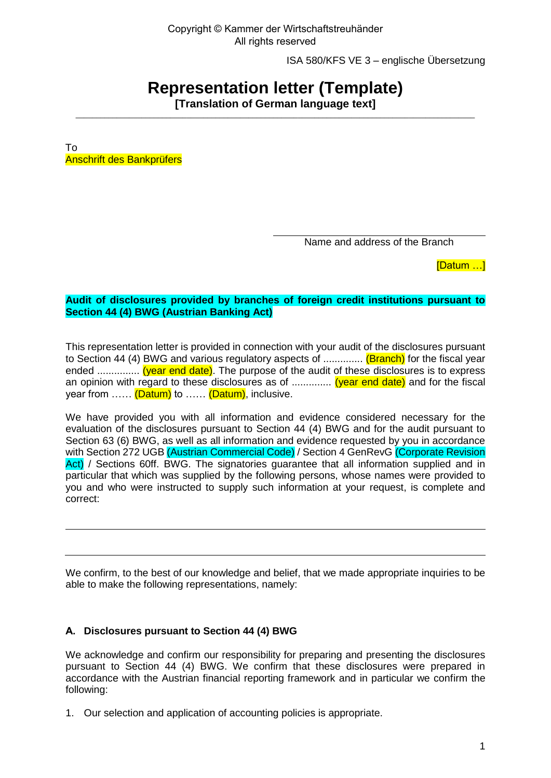ISA 580/KFS VE 3 – englische Übersetzung

# **Representation letter (Template)**

**[Translation of German language text]**   $\_$  ,  $\_$  ,  $\_$  ,  $\_$  ,  $\_$  ,  $\_$  ,  $\_$  ,  $\_$  ,  $\_$  ,  $\_$  ,  $\_$  ,  $\_$  ,  $\_$  ,  $\_$  ,  $\_$  ,  $\_$  ,  $\_$  ,  $\_$  ,  $\_$  ,  $\_$  ,  $\_$  ,  $\_$  ,  $\_$  ,  $\_$  ,  $\_$  ,  $\_$  ,  $\_$  ,  $\_$  ,  $\_$  ,  $\_$  ,  $\_$  ,  $\_$  ,  $\_$  ,  $\_$  ,  $\_$  ,  $\_$  ,  $\_$  ,

To Anschrift des Bankprüfers

Name and address of the Branch

[Datum …]

### **Audit of disclosures provided by branches of foreign credit institutions pursuant to Section 44 (4) BWG (Austrian Banking Act)**

This representation letter is provided in connection with your audit of the disclosures pursuant to Section 44 (4) BWG and various regulatory aspects of ............... (Branch) for the fiscal year ended ................ (year end date). The purpose of the audit of these disclosures is to express an opinion with regard to these disclosures as of ............... (year end date) and for the fiscal year from ...... (Datum) to ...... (Datum), inclusive.

We have provided you with all information and evidence considered necessary for the evaluation of the disclosures pursuant to Section 44 (4) BWG and for the audit pursuant to Section 63 (6) BWG, as well as all information and evidence requested by you in accordance with Section 272 UGB (Austrian Commercial Code) / Section 4 GenRevG (Corporate Revision Act) / Sections 60ff. BWG. The signatories guarantee that all information supplied and in particular that which was supplied by the following persons, whose names were provided to you and who were instructed to supply such information at your request, is complete and correct:

We confirm, to the best of our knowledge and belief, that we made appropriate inquiries to be able to make the following representations, namely:

## **A. Disclosures pursuant to Section 44 (4) BWG**

We acknowledge and confirm our responsibility for preparing and presenting the disclosures pursuant to Section 44 (4) BWG. We confirm that these disclosures were prepared in accordance with the Austrian financial reporting framework and in particular we confirm the following:

1. Our selection and application of accounting policies is appropriate.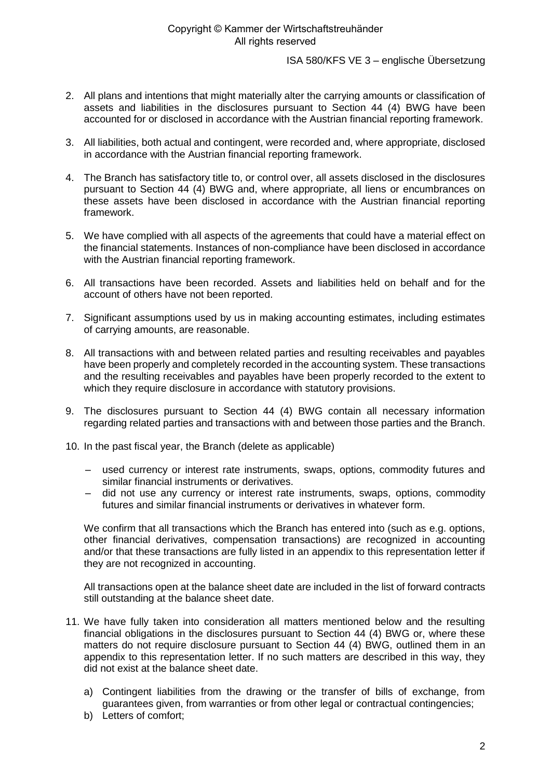ISA 580/KFS VE 3 – englische Übersetzung

- 2. All plans and intentions that might materially alter the carrying amounts or classification of assets and liabilities in the disclosures pursuant to Section 44 (4) BWG have been accounted for or disclosed in accordance with the Austrian financial reporting framework.
- 3. All liabilities, both actual and contingent, were recorded and, where appropriate, disclosed in accordance with the Austrian financial reporting framework.
- 4. The Branch has satisfactory title to, or control over, all assets disclosed in the disclosures pursuant to Section 44 (4) BWG and, where appropriate, all liens or encumbrances on these assets have been disclosed in accordance with the Austrian financial reporting framework.
- 5. We have complied with all aspects of the agreements that could have a material effect on the financial statements. Instances of non-compliance have been disclosed in accordance with the Austrian financial reporting framework.
- 6. All transactions have been recorded. Assets and liabilities held on behalf and for the account of others have not been reported.
- 7. Significant assumptions used by us in making accounting estimates, including estimates of carrying amounts, are reasonable.
- 8. All transactions with and between related parties and resulting receivables and payables have been properly and completely recorded in the accounting system. These transactions and the resulting receivables and payables have been properly recorded to the extent to which they require disclosure in accordance with statutory provisions.
- 9. The disclosures pursuant to Section 44 (4) BWG contain all necessary information regarding related parties and transactions with and between those parties and the Branch.
- 10. In the past fiscal year, the Branch (delete as applicable)
	- used currency or interest rate instruments, swaps, options, commodity futures and similar financial instruments or derivatives.
	- did not use any currency or interest rate instruments, swaps, options, commodity futures and similar financial instruments or derivatives in whatever form.

We confirm that all transactions which the Branch has entered into (such as e.g. options, other financial derivatives, compensation transactions) are recognized in accounting and/or that these transactions are fully listed in an appendix to this representation letter if they are not recognized in accounting.

All transactions open at the balance sheet date are included in the list of forward contracts still outstanding at the balance sheet date.

- 11. We have fully taken into consideration all matters mentioned below and the resulting financial obligations in the disclosures pursuant to Section 44 (4) BWG or, where these matters do not require disclosure pursuant to Section 44 (4) BWG, outlined them in an appendix to this representation letter. If no such matters are described in this way, they did not exist at the balance sheet date.
	- a) Contingent liabilities from the drawing or the transfer of bills of exchange, from guarantees given, from warranties or from other legal or contractual contingencies;
	- b) Letters of comfort;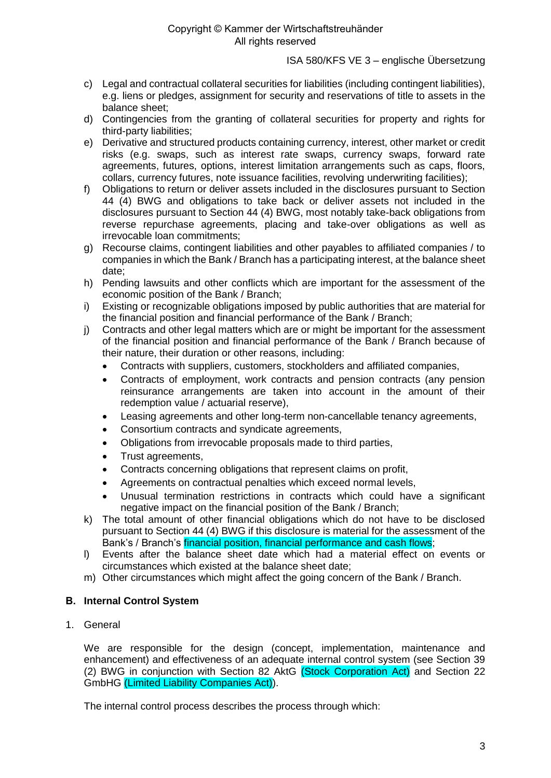ISA 580/KFS VE 3 – englische Übersetzung

- c) Legal and contractual collateral securities for liabilities (including contingent liabilities), e.g. liens or pledges, assignment for security and reservations of title to assets in the balance sheet;
- d) Contingencies from the granting of collateral securities for property and rights for third-party liabilities;
- e) Derivative and structured products containing currency, interest, other market or credit risks (e.g. swaps, such as interest rate swaps, currency swaps, forward rate agreements, futures, options, interest limitation arrangements such as caps, floors, collars, currency futures, note issuance facilities, revolving underwriting facilities);
- f) Obligations to return or deliver assets included in the disclosures pursuant to Section 44 (4) BWG and obligations to take back or deliver assets not included in the disclosures pursuant to Section 44 (4) BWG, most notably take-back obligations from reverse repurchase agreements, placing and take-over obligations as well as irrevocable loan commitments;
- g) Recourse claims, contingent liabilities and other payables to affiliated companies / to companies in which the Bank / Branch has a participating interest, at the balance sheet date;
- h) Pending lawsuits and other conflicts which are important for the assessment of the economic position of the Bank / Branch;
- i) Existing or recognizable obligations imposed by public authorities that are material for the financial position and financial performance of the Bank / Branch;
- j) Contracts and other legal matters which are or might be important for the assessment of the financial position and financial performance of the Bank / Branch because of their nature, their duration or other reasons, including:
	- Contracts with suppliers, customers, stockholders and affiliated companies,
	- Contracts of employment, work contracts and pension contracts (any pension reinsurance arrangements are taken into account in the amount of their redemption value / actuarial reserve),
	- Leasing agreements and other long-term non-cancellable tenancy agreements,
	- Consortium contracts and syndicate agreements,
	- Obligations from irrevocable proposals made to third parties,
	- Trust agreements,
	- Contracts concerning obligations that represent claims on profit,
	- Agreements on contractual penalties which exceed normal levels,
	- Unusual termination restrictions in contracts which could have a significant negative impact on the financial position of the Bank / Branch;
- k) The total amount of other financial obligations which do not have to be disclosed pursuant to Section 44 (4) BWG if this disclosure is material for the assessment of the Bank's / Branch's financial position, financial performance and cash flows;
- l) Events after the balance sheet date which had a material effect on events or circumstances which existed at the balance sheet date;
- m) Other circumstances which might affect the going concern of the Bank / Branch.

#### **B. Internal Control System**

1. General

We are responsible for the design (concept, implementation, maintenance and enhancement) and effectiveness of an adequate internal control system (see Section 39 (2) BWG in conjunction with Section 82 AktG (Stock Corporation Act) and Section 22 GmbHG (Limited Liability Companies Act)).

The internal control process describes the process through which: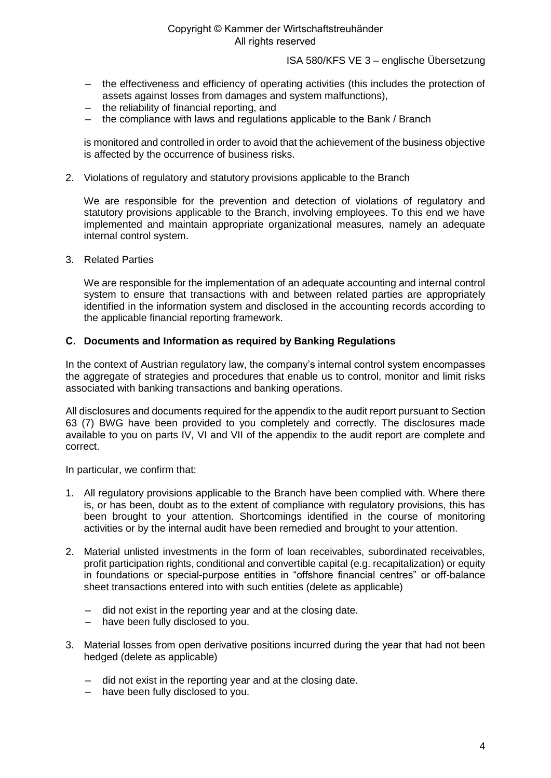ISA 580/KFS VE 3 – englische Übersetzung

- the effectiveness and efficiency of operating activities (this includes the protection of assets against losses from damages and system malfunctions),
- the reliability of financial reporting, and
- the compliance with laws and regulations applicable to the Bank / Branch

is monitored and controlled in order to avoid that the achievement of the business objective is affected by the occurrence of business risks.

2. Violations of regulatory and statutory provisions applicable to the Branch

We are responsible for the prevention and detection of violations of regulatory and statutory provisions applicable to the Branch, involving employees. To this end we have implemented and maintain appropriate organizational measures, namely an adequate internal control system.

3. Related Parties

We are responsible for the implementation of an adequate accounting and internal control system to ensure that transactions with and between related parties are appropriately identified in the information system and disclosed in the accounting records according to the applicable financial reporting framework.

#### **C. Documents and Information as required by Banking Regulations**

In the context of Austrian regulatory law, the company's internal control system encompasses the aggregate of strategies and procedures that enable us to control, monitor and limit risks associated with banking transactions and banking operations.

All disclosures and documents required for the appendix to the audit report pursuant to Section 63 (7) BWG have been provided to you completely and correctly. The disclosures made available to you on parts IV, VI and VII of the appendix to the audit report are complete and correct.

In particular, we confirm that:

- 1. All regulatory provisions applicable to the Branch have been complied with. Where there is, or has been, doubt as to the extent of compliance with regulatory provisions, this has been brought to your attention. Shortcomings identified in the course of monitoring activities or by the internal audit have been remedied and brought to your attention.
- 2. Material unlisted investments in the form of loan receivables, subordinated receivables, profit participation rights, conditional and convertible capital (e.g. recapitalization) or equity in foundations or special-purpose entities in "offshore financial centres" or off-balance sheet transactions entered into with such entities (delete as applicable)
	- did not exist in the reporting year and at the closing date.
	- have been fully disclosed to you.
- 3. Material losses from open derivative positions incurred during the year that had not been hedged (delete as applicable)
	- did not exist in the reporting year and at the closing date.
	- have been fully disclosed to you.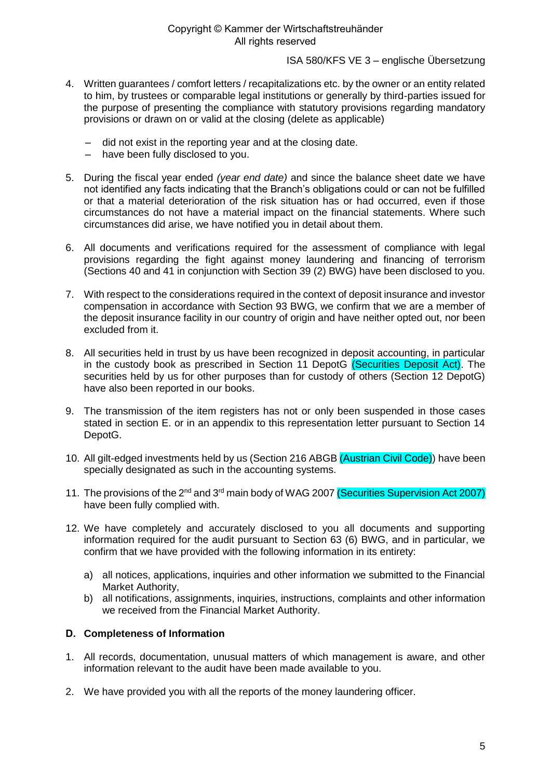ISA 580/KFS VE 3 – englische Übersetzung

- 4. Written guarantees / comfort letters / recapitalizations etc. by the owner or an entity related to him, by trustees or comparable legal institutions or generally by third-parties issued for the purpose of presenting the compliance with statutory provisions regarding mandatory provisions or drawn on or valid at the closing (delete as applicable)
	- did not exist in the reporting year and at the closing date.
	- have been fully disclosed to you.
- 5. During the fiscal year ended *(year end date)* and since the balance sheet date we have not identified any facts indicating that the Branch's obligations could or can not be fulfilled or that a material deterioration of the risk situation has or had occurred, even if those circumstances do not have a material impact on the financial statements. Where such circumstances did arise, we have notified you in detail about them.
- 6. All documents and verifications required for the assessment of compliance with legal provisions regarding the fight against money laundering and financing of terrorism (Sections 40 and 41 in conjunction with Section 39 (2) BWG) have been disclosed to you.
- 7. With respect to the considerations required in the context of deposit insurance and investor compensation in accordance with Section 93 BWG, we confirm that we are a member of the deposit insurance facility in our country of origin and have neither opted out, nor been excluded from it.
- 8. All securities held in trust by us have been recognized in deposit accounting, in particular in the custody book as prescribed in Section 11 DepotG (Securities Deposit Act). The securities held by us for other purposes than for custody of others (Section 12 DepotG) have also been reported in our books.
- 9. The transmission of the item registers has not or only been suspended in those cases stated in section E. or in an appendix to this representation letter pursuant to Section 14 DepotG.
- 10. All gilt-edged investments held by us (Section 216 ABGB (Austrian Civil Code)) have been specially designated as such in the accounting systems.
- 11. The provisions of the 2<sup>nd</sup> and 3<sup>rd</sup> main body of WAG 2007 (Securities Supervision Act 2007) have been fully complied with.
- 12. We have completely and accurately disclosed to you all documents and supporting information required for the audit pursuant to Section 63 (6) BWG, and in particular, we confirm that we have provided with the following information in its entirety:
	- a) all notices, applications, inquiries and other information we submitted to the Financial Market Authority,
	- b) all notifications, assignments, inquiries, instructions, complaints and other information we received from the Financial Market Authority.

## **D. Completeness of Information**

- 1. All records, documentation, unusual matters of which management is aware, and other information relevant to the audit have been made available to you.
- 2. We have provided you with all the reports of the money laundering officer.